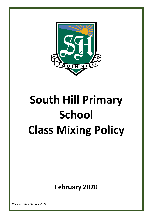

# **South Hill Primary School Class Mixing Policy**

**February 2020**

*Review Date February 2021*